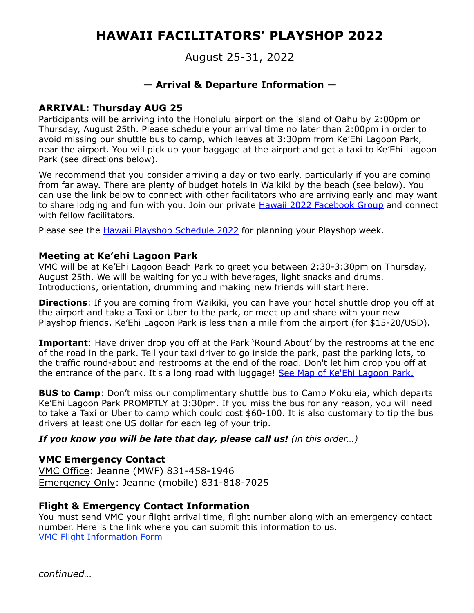# **HAWAII FACILITATORS' PLAYSHOP 2022**

August 25-31, 2022

# **— Arrival & Departure Information —**

#### **ARRIVAL: Thursday AUG 25**

Participants will be arriving into the Honolulu airport on the island of Oahu by 2:00pm on Thursday, August 25th. Please schedule your arrival time no later than 2:00pm in order to avoid missing our shuttle bus to camp, which leaves at 3:30pm from Ke'Ehi Lagoon Park, near the airport. You will pick up your baggage at the airport and get a taxi to Ke'Ehi Lagoon Park (see directions below).

We recommend that you consider arriving a day or two early, particularly if you are coming from far away. There are plenty of budget hotels in Waikiki by the beach (see below). You can use the link below to connect with other facilitators who are arriving early and may want to share lodging and fun with you. Join our private **Hawaii 2022 Facebook Group** and connect with fellow facilitators.

Please see the *[Hawaii Playshop Schedule 2022](https://villagemusiccircles.com/playshops-trainings/hawaii-playshop-schedule/)* for planning your Playshop week.

#### **Meeting at Ke'ehi Lagoon Park**

VMC will be at Ke'Ehi Lagoon Beach Park to greet you between 2:30-3:30pm on Thursday, August 25th. We will be waiting for you with beverages, light snacks and drums. Introductions, orientation, drumming and making new friends will start here.

**Directions**: If you are coming from Waikiki, you can have your hotel shuttle drop you off at the airport and take a Taxi or Uber to the park, or meet up and share with your new Playshop friends. Ke'Ehi Lagoon Park is less than a mile from the airport (for \$15-20/USD).

**Important**: Have driver drop you off at the Park 'Round About' by the restrooms at the end of the road in the park. Tell your taxi driver to go inside the park, past the parking lots, to the traffic round-about and restrooms at the end of the road. Don't let him drop you off at the entrance of the park. It's a long road with luggage! [See Map of Ke'Ehi Lagoon Park.](https://www.google.com/maps/@21.330848,-157.898025,17z)

**BUS to Camp**: Don't miss our complimentary shuttle bus to Camp Mokuleia, which departs Ke'Ehi Lagoon Park PROMPTLY at 3:30pm. If you miss the bus for any reason, you will need to take a Taxi or Uber to camp which could cost \$60-100. It is also customary to tip the bus drivers at least one US dollar for each leg of your trip.

*If you know you will be late that day, please call us! (in this order…)*

## **VMC Emergency Contact**

VMC Office: Jeanne (MWF) 831-458-1946 Emergency Only: Jeanne (mobile) 831-818-7025

## **Flight & Emergency Contact Information**

You must send VMC your flight arrival time, flight number along with an emergency contact number. Here is the link where you can submit this information to us. [VMC Flight Information Form](https://villagemusiccircles.com/playshops-trainings/flight-info/)

*continued…*